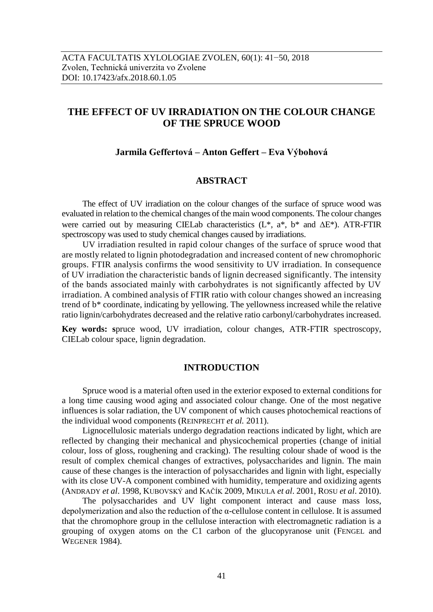# **THE EFFECT OF UV IRRADIATION ON THE COLOUR CHANGE OF THE SPRUCE WOOD**

### **Jarmila Geffertová – Anton Geffert – Eva Výbohová**

# **ABSTRACT**

The effect of UV irradiation on the colour changes of the surface of spruce wood was evaluated in relation to the chemical changes of the main wood components. The colour changes were carried out by measuring CIELab characteristics  $(L^*, a^*, b^*$  and  $\Delta E^*$ ). ATR-FTIR spectroscopy was used to study chemical changes caused by irradiations.

UV irradiation resulted in rapid colour changes of the surface of spruce wood that are mostly related to lignin photodegradation and increased content of new chromophoric groups. FTIR analysis confirms the wood sensitivity to UV irradiation. In consequence of UV irradiation the characteristic bands of lignin decreased significantly. The intensity of the bands associated mainly with carbohydrates is not significantly affected by UV irradiation. A combined analysis of FTIR ratio with colour changes showed an increasing trend of b\* coordinate, indicating by yellowing. The yellowness increased while the relative ratio lignin/carbohydrates decreased and the relative ratio carbonyl/carbohydrates increased.

**Key words: s**pruce wood, UV irradiation, colour changes, ATR-FTIR spectroscopy, CIELab colour space, lignin degradation.

#### **INTRODUCTION**

Spruce wood is a material often used in the exterior exposed to external conditions for a long time causing wood aging and associated colour change. One of the most negative influences is solar radiation, the UV component of which causes photochemical reactions of the individual wood components (REINPRECHT *et al.* 2011).

Lignocellulosic materials undergo degradation reactions indicated by light, which are reflected by changing their mechanical and physicochemical properties (change of initial colour, loss of gloss, roughening and cracking). The resulting colour shade of wood is the result of complex chemical changes of extractives, polysaccharides and lignin. The main cause of these changes is the interaction of polysaccharides and lignin with light, especially with its close UV-A component combined with humidity, temperature and oxidizing agents (ANDRADY *et al*. 1998, KUBOVSKÝ and KAČÍK 2009, MIKULA *et al*. 2001, ROSU *et al*. 2010).

The polysaccharides and UV light component interact and cause mass loss, depolymerization and also the reduction of the α-cellulose content in cellulose. It is assumed that the chromophore group in the cellulose interaction with electromagnetic radiation is a grouping of oxygen atoms on the C1 carbon of the glucopyranose unit (FENGEL and WEGENER 1984).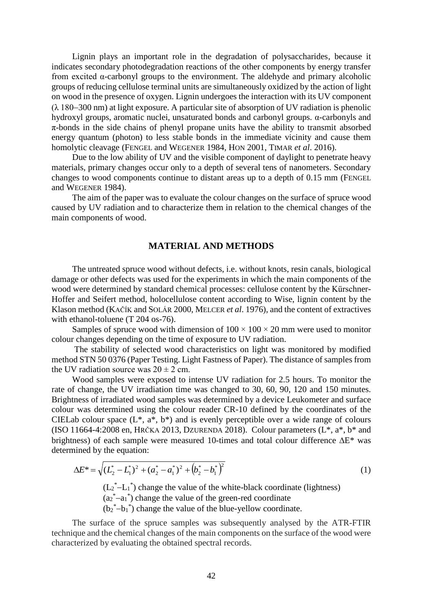Lignin plays an important role in the degradation of polysaccharides, because it indicates secondary photodegradation reactions of the other components by energy transfer from excited α-carbonyl groups to the environment. The aldehyde and primary alcoholic groups of reducing cellulose terminal units are simultaneously oxidized by the action of light on wood in the presence of oxygen. Lignin undergoes the interaction with its UV component  $(\lambda 180-300 \text{ nm})$  at light exposure. A particular site of absorption of UV radiation is phenolic hydroxyl groups, aromatic nuclei, unsaturated bonds and carbonyl groups. α-carbonyls and  $\pi$ -bonds in the side chains of phenyl propane units have the ability to transmit absorbed energy quantum (photon) to less stable bonds in the immediate vicinity and cause them homolytic cleavage (FENGEL and WEGENER 1984, HON 2001, TIMAR *et al*. 2016).

Due to the low ability of UV and the visible component of daylight to penetrate heavy materials, primary changes occur only to a depth of several tens of nanometers. Secondary changes to wood components continue to distant areas up to a depth of 0.15 mm (FENGEL and WEGENER 1984).

The aim of the paper was to evaluate the colour changes on the surface of spruce wood caused by UV radiation and to characterize them in relation to the chemical changes of the main components of wood.

# **MATERIAL AND METHODS**

The untreated spruce wood without defects, i.e. without knots, resin canals, biological damage or other defects was used for the experiments in which the main components of the wood were determined by standard chemical processes: cellulose content by the Kürschner-Hoffer and Seifert method, holocellulose content according to Wise, lignin content by the Klason method (KAČÍK and SOLÁR 2000, MELCER *et al*. 1976), and the content of extractives with ethanol-toluene (T 204 os-76).

Samples of spruce wood with dimension of  $100 \times 100 \times 20$  mm were used to monitor colour changes depending on the time of exposure to UV radiation.

The stability of selected wood characteristics on light was monitored by modified method STN 50 0376 (Paper Testing. Light Fastness of Paper). The distance of samples from the UV radiation source was  $20 \pm 2$  cm.

Wood samples were exposed to intense UV radiation for 2.5 hours. To monitor the rate of change, the UV irradiation time was changed to 30, 60, 90, 120 and 150 minutes. Brightness of irradiated wood samples was determined by a device Leukometer and surface colour was determined using the colour reader CR-10 defined by the coordinates of the CIELab colour space  $(L^*, a^*, b^*)$  and is evenly perceptible over a wide range of colours (ISO 11664-4:2008 en, HRČKA 2013, DZURENDA 2018). Colour parameters  $(L^*, a^*, b^*$  and brightness) of each sample were measured 10-times and total colour difference  $\Delta E^*$  was determined by the equation:

$$
\Delta E^* = \sqrt{\left(L_2^* - L_1^*\right)^2 + \left(a_2^* - a_1^*\right)^2 + \left(b_2^* - b_1^*\right)^2}
$$
\n(1)

 $(L_2^* - L_1^*)$  change the value of the white-black coordinate (lightness)

 $(a_2^* - a_1^*)$  change the value of the green-red coordinate

 $(b_2^* - b_1^*)$  change the value of the blue-yellow coordinate.

The surface of the spruce samples was subsequently analysed by the ATR-FTIR technique and the chemical changes of the main components on the surface of the wood were characterized by evaluating the obtained spectral records.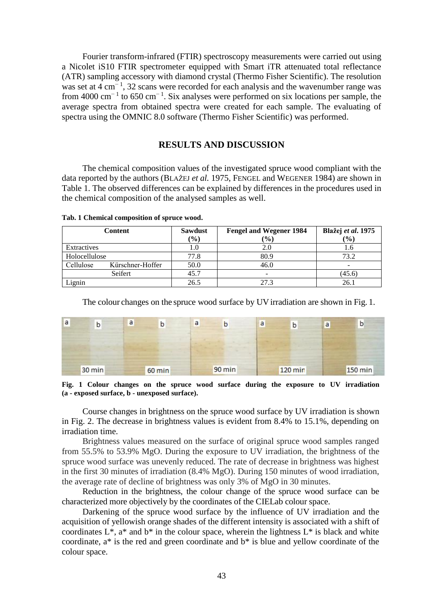Fourier transform-infrared (FTIR) spectroscopy measurements were carried out using a Nicolet iS10 FTIR spectrometer equipped with Smart iTR attenuated total reflectance (ATR) sampling accessory with diamond crystal (Thermo Fisher Scientific). The resolution was set at 4 cm<sup>-1</sup>, 32 scans were recorded for each analysis and the wavenumber range was from 4000 cm<sup>-1</sup> to 650 cm<sup>-1</sup>. Six analyses were performed on six locations per sample, the average spectra from obtained spectra were created for each sample. The evaluating of spectra using the OMNIC 8.0 software (Thermo Fisher Scientific) was performed.

#### **RESULTS AND DISCUSSION**

The chemical composition values of the investigated spruce wood compliant with the data reported by the authors (BLAŽEJ *et al.* 1975, FENGEL and WEGENER 1984) are shown in Table 1. The observed differences can be explained by differences in the procedures used in the chemical composition of the analysed samples as well.

| Content       |                  | <b>Sawdust</b> | <b>Fengel and Wegener 1984</b> | Blažej et al. 1975 |
|---------------|------------------|----------------|--------------------------------|--------------------|
|               |                  | (%)            | (%)                            | (%)                |
| Extractives   |                  | 1.0            | 2.0                            |                    |
| Holocellulose |                  | 77.8           | 80.9                           | 73.2               |
| Cellulose     | Kürschner-Hoffer | 50.0           | 46.0                           |                    |
|               | Seifert          | 45.7           |                                | (45.6)             |
| Lignin        |                  | 26.5           | 27.3                           | 26.                |

**Tab. 1 Chemical composition of spruce wood.**

The colour changes on the spruce wood surface by UV irradiation are shown in Fig. 1.



**Fig. 1 Colour changes on the spruce wood surface during the exposure to UV irradiation (a - exposed surface, b - unexposed surface).**

Course changes in brightness on the spruce wood surface by UV irradiation is shown in Fig. 2. The decrease in brightness values is evident from 8.4% to 15.1%, depending on irradiation time.

Brightness values measured on the surface of original spruce wood samples ranged from 55.5% to 53.9% MgO. During the exposure to UV irradiation, the brightness of the spruce wood surface was unevenly reduced. The rate of decrease in brightness was highest in the first 30 minutes of irradiation (8.4% MgO). During 150 minutes of wood irradiation, the average rate of decline of brightness was only 3% of MgO in 30 minutes.

Reduction in the brightness, the colour change of the spruce wood surface can be characterized more objectively by the coordinates of the CIELab colour space.

Darkening of the spruce wood surface by the influence of UV irradiation and the acquisition of yellowish orange shades of the different intensity is associated with a shift of coordinates  $L^*$ ,  $a^*$  and  $b^*$  in the colour space, wherein the lightness  $L^*$  is black and white coordinate, a\* is the red and green coordinate and b\* is blue and yellow coordinate of the colour space.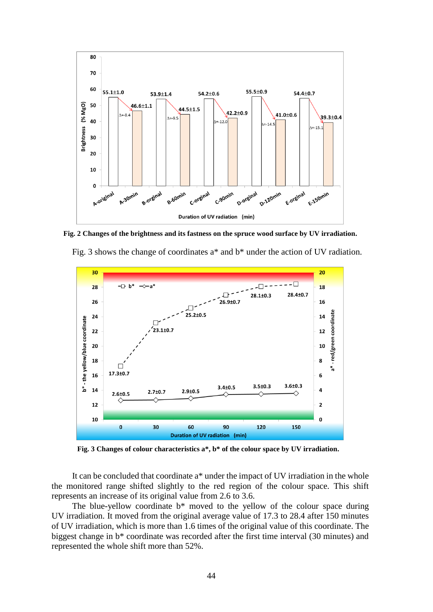

**Fig. 2 Changes of the brightness and its fastness on the spruce wood surface by UV irradiation.**





**Fig. 3 Changes of colour characteristics a\*, b\* of the colour space by UV irradiation.**

It can be concluded that coordinate a\* under the impact of UV irradiation in the whole the monitored range shifted slightly to the red region of the colour space. This shift represents an increase of its original value from 2.6 to 3.6.

The blue-yellow coordinate  $b^*$  moved to the yellow of the colour space during UV irradiation. It moved from the original average value of 17.3 to 28.4 after 150 minutes of UV irradiation, which is more than 1.6 times of the original value of this coordinate. The biggest change in b\* coordinate was recorded after the first time interval (30 minutes) and represented the whole shift more than 52%.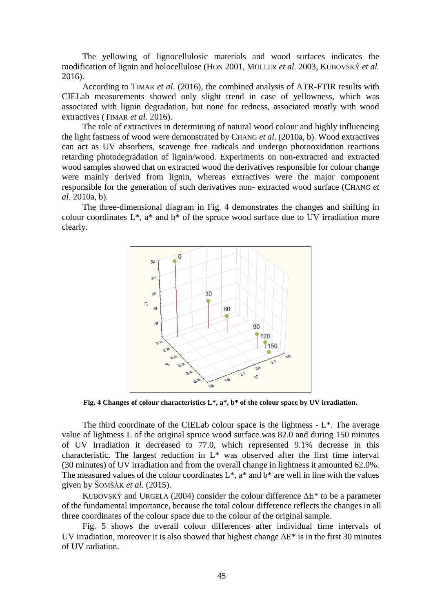The yellowing of lignocellulosic materials and wood surfaces indicates the modification of lignin and holocellulose (HON 2001, MÜLLER *et al.* 2003, KUBOVSKÝ *et al.* 2016).

According to TIMAR *et al*. (2016), the combined analysis of ATR-FTIR results with CIELab measurements showed only slight trend in case of yellowness, which was associated with lignin degradation, but none for redness, associated mostly with wood extractives (TIMAR *et al*. 2016).

The role of extractives in determining of natural wood colour and highly influencing the light fastness of wood were demonstrated by CHANG *et al*. (2010a, b). Wood extractives can act as UV absorbers, scavenge free radicals and undergo photooxidation reactions retarding photodegradation of lignin/wood. Experiments on non-extracted and extracted wood samples showed that on extracted wood the derivatives responsible for colour change were mainly derived from lignin, whereas extractives were the major component responsible for the generation of such derivatives non- extracted wood surface (CHANG *et al*. 2010a, b).

The three-dimensional diagram in Fig. 4 demonstrates the changes and shifting in colour coordinates  $L^*$ ,  $a^*$  and  $b^*$  of the spruce wood surface due to UV irradiation more clearly.



**Fig. 4 Changes of colour characteristics L\*, a\*, b\* of the colour space by UV irradiation.**

The third coordinate of the CIELab colour space is the lightness  $-L^*$ . The average value of lightness L of the original spruce wood surface was 82.0 and during 150 minutes of UV irradiation it decreased to 77.0, which represented 9.1% decrease in this characteristic. The largest reduction in L\* was observed after the first time interval (30 minutes) of UV irradiation and from the overall change in lightness it amounted 62.0%. The measured values of the colour coordinates  $L^*$ ,  $a^*$  and  $b^*$  are well in line with the values given by ŠOMŠÁK *et al.* (2015).

KUBOVSKÝ and URGELA (2004) consider the colour difference  $\Delta E^*$  to be a parameter of the fundamental importance, because the total colour difference reflects the changes in all three coordinates of the colour space due to the colour of the original sample.

Fig. 5 shows the overall colour differences after individual time intervals of UV irradiation, moreover it is also showed that highest change  $\Delta E^*$  is in the first 30 minutes of UV radiation.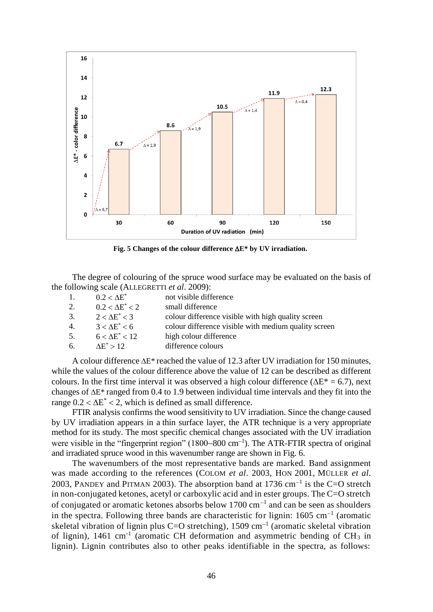

Fig. 5 Changes of the colour difference  $\Delta E^*$  by UV irradiation.

The degree of colouring of the spruce wood surface may be evaluated on the basis of the following scale (ALLEGRETTI *et al*. 2009):

| 1. | $0.2 < \Delta E^*$     | not visible difference                               |
|----|------------------------|------------------------------------------------------|
| 2. | $0.2 < \Delta E^* < 2$ | small difference                                     |
| 3. | $2 < \Delta E^* < 3$   | colour difference visible with high quality screen   |
| 4. | $3 < \Delta E^* < 6$   | colour difference visible with medium quality screen |
| 5. | $6 < \Delta E^* < 12$  | high colour difference                               |
| 6. | $AE^* > 12$            | difference colours                                   |
|    |                        |                                                      |

A colour difference  $\Delta E^*$  reached the value of 12.3 after UV irradiation for 150 minutes, while the values of the colour difference above the value of 12 can be described as different colours. In the first time interval it was observed a high colour difference ( $\Delta E^* = 6.7$ ), next changes of  $\Delta E^*$  ranged from 0.4 to 1.9 between individual time intervals and they fit into the range  $0.2 < \Delta E^* < 2$ , which is defined as small difference.

FTIR analysis confirms the wood sensitivity to UV irradiation. Since the change caused by UV irradiation appears in a thin surface layer, the ATR technique is a very appropriate method for its study. The most specific chemical changes associated with the UV irradiation were visible in the "fingerprint region" (1800–800 cm<sup>-1</sup>). The ATR-FTIR spectra of original and irradiated spruce wood in this wavenumber range are shown in Fig. 6.

The wavenumbers of the most representative bands are marked. Band assignment was made according to the references (COLOM *et al*. 2003, HON 2001, MÜLLER *et al*. 2003, PANDEY and PITMAN 2003). The absorption band at 1736 cm<sup>-1</sup> is the C=O stretch in non-conjugated ketones, acetyl or carboxylic acid and in ester groups. The C=O stretch of conjugated or aromatic ketones absorbs below  $1700 \text{ cm}^{-1}$  and can be seen as shoulders in the spectra. Following three bands are characteristic for lignin:  $1605 \text{ cm}^{-1}$  (aromatic skeletal vibration of lignin plus C=O stretching),  $1509 \text{ cm}^{-1}$  (aromatic skeletal vibration of lignin),  $1461 \text{ cm}^{-1}$  (aromatic CH deformation and asymmetric bending of CH<sub>3</sub> in lignin). Lignin contributes also to other peaks identifiable in the spectra, as follows: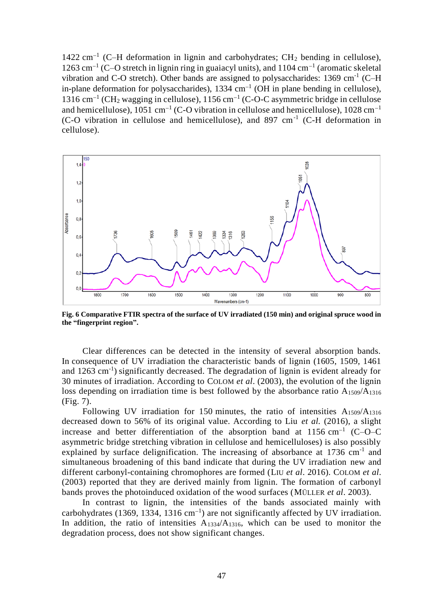1422  $cm^{-1}$  (C-H deformation in lignin and carbohydrates; CH<sub>2</sub> bending in cellulose), 1263 cm<sup>-1</sup> (C-O stretch in lignin ring in guaiacyl units), and 1104 cm<sup>-1</sup> (aromatic skeletal vibration and C-O stretch). Other bands are assigned to polysaccharides:  $1369 \text{ cm}^{-1}$  (C-H in-plane deformation for polysaccharides),  $1334 \text{ cm}^{-1}$  (OH in plane bending in cellulose),  $1316 \text{ cm}^{-1}$  (CH<sub>2</sub> wagging in cellulose),  $1156 \text{ cm}^{-1}$  (C-O-C asymmetric bridge in cellulose and hemicellulose), 1051 cm<sup>-1</sup> (C-O vibration in cellulose and hemicellulose), 1028 cm<sup>-1</sup> (C-O vibration in cellulose and hemicellulose), and 897 cm-1 (C-H deformation in cellulose).



**Fig. 6 Comparative FTIR spectra of the surface of UV irradiated (150 min) and original spruce wood in the "fingerprint region".**

Clear differences can be detected in the intensity of several absorption bands. In consequence of UV irradiation the characteristic bands of lignin (1605, 1509, 1461 and 1263 cm<sup>-1</sup>) significantly decreased. The degradation of lignin is evident already for 30 minutes of irradiation. According to COLOM *et al*. (2003), the evolution of the lignin loss depending on irradiation time is best followed by the absorbance ratio  $A_{1509}/A_{1316}$ (Fig. 7).

Following UV irradiation for 150 minutes, the ratio of intensities  $A_{1509}/A_{1316}$ decreased down to 56% of its original value. According to Liu *et al.* (2016), a slight increase and better differentiation of the absorption band at  $1156 \text{ cm}^{-1}$  (C-O-C asymmetric bridge stretching vibration in cellulose and hemicelluloses) is also possibly explained by surface delignification. The increasing of absorbance at  $1736 \text{ cm}^{-1}$  and simultaneous broadening of this band indicate that during the UV irradiation new and different carbonyl-containing chromophores are formed (LIU *et al*. 2016). COLOM *et al*. (2003) reported that they are derived mainly from lignin. The formation of carbonyl bands proves the photoinduced oxidation of the wood surfaces (MÜLLER *et al*. 2003).

In contrast to lignin, the intensities of the bands associated mainly with carbohydrates (1369, 1334, 1316 cm<sup>-1</sup>) are not significantly affected by UV irradiation. In addition, the ratio of intensities  $A_{1334}/A_{1316}$ , which can be used to monitor the degradation process, does not show significant changes.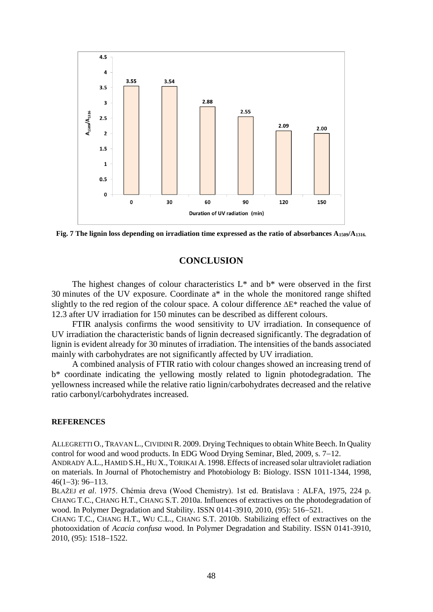

**Fig. 7 The lignin loss depending on irradiation time expressed as the ratio of absorbances A1509/A1316.**

# **CONCLUSION**

The highest changes of colour characteristics  $L^*$  and  $b^*$  were observed in the first 30 minutes of the UV exposure. Coordinate a\* in the whole the monitored range shifted slightly to the red region of the colour space. A colour difference  $\Delta E^*$  reached the value of 12.3 after UV irradiation for 150 minutes can be described as different colours.

FTIR analysis confirms the wood sensitivity to UV irradiation. In consequence of UV irradiation the characteristic bands of lignin decreased significantly. The degradation of lignin is evident already for 30 minutes of irradiation. The intensities of the bands associated mainly with carbohydrates are not significantly affected by UV irradiation.

A combined analysis of FTIR ratio with colour changes showed an increasing trend of b\* coordinate indicating the yellowing mostly related to lignin photodegradation. The yellowness increased while the relative ratio lignin/carbohydrates decreased and the relative ratio carbonyl/carbohydrates increased.

#### **REFERENCES**

ALLEGRETTI O., TRAVAN L.,CIVIDINI R. 2009. Drying Techniques to obtain White Beech. In Quality control for wood and wood products. In EDG Wood Drying Seminar, Bled,  $2009$ , s.  $7-12$ .

ANDRADY A.L., HAMID S.H., HU X., TORIKAI A. 1998. Effects of increased solar ultraviolet radiation on materials. In Journal of Photochemistry and Photobiology B: Biology. ISSN 1011-1344, 1998,  $46(1-3): 96-113.$ 

BLAŽEJ *et al*. 1975. Chémia dreva (Wood Chemistry). 1st ed. Bratislava : ALFA, 1975, 224 p. CHANG T.C., CHANG H.T., CHANG S.T. 2010a. Influences of extractives on the photodegradation of wood. In Polymer Degradation and Stability. ISSN 0141-3910, 2010,  $(95)$ : 516-521.

CHANG T.C., CHANG H.T., WU C.L., CHANG S.T. 2010b. Stabilizing effect of extractives on the photooxidation of *Acacia confusa* wood. In Polymer Degradation and Stability. ISSN 0141-3910, 2010, (95): 1518-1522.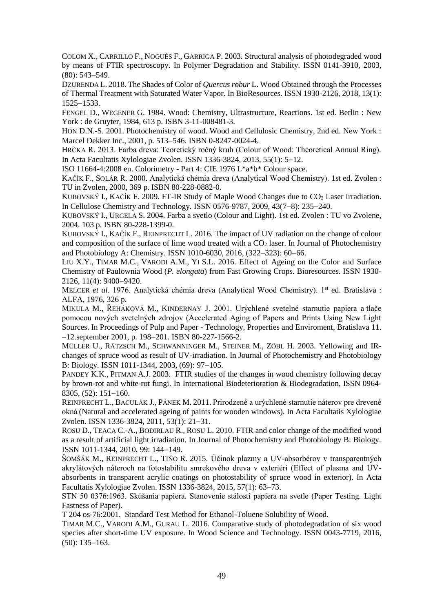COLOM X., CARRILLO F., NOGUÉS F., GARRIGA P. 2003. Structural analysis of photodegraded wood by means of FTIR spectroscopy. In Polymer Degradation and Stability. ISSN 0141-3910, 2003,  $(80): 543 - 549.$ 

DZURENDA L. 2018. The Shades of Color of *Quercus robur* L. Wood Obtained through the Processes of Thermal Treatment with Saturated Water Vapor. In BioResources. ISSN 1930-2126, 2018, 13(1): 1525-1533.

FENGEL D., WEGENER G. 1984. Wood: Chemistry, Ultrastructure, Reactions. 1st ed. Berlin : New York : de Gruyter, 1984, 613 p. ISBN 3-11-008481-3.

HON D.N.-S. 2001. Photochemistry of wood. Wood and Cellulosic Chemistry, 2nd ed. New York : Marcel Dekker Inc., 2001, p. 513-546. ISBN 0-8247-0024-4.

HRČKA R. 2013. Farba dreva: Teoretický ročný kruh (Colour of Wood: Theoretical Annual Ring). In Acta Facultatis Xylologiae Zvolen. ISSN 1336-3824, 2013, 55(1): 5–12.

ISO 11664-4:2008 en. Colorimetry - Part 4: CIE 1976 L\*a\*b\* Colour space.

KAČÍK F., SOLÁR R. 2000. Analytická chémia dreva (Analytical Wood Chemistry). 1st ed. Zvolen : TU in Zvolen, 2000, 369 p. ISBN 80-228-0882-0.

KUBOVSKÝ I., KAČÍK F. 2009. FT-IR Study of Maple Wood Changes due to CO<sub>2</sub> Laser Irradiation. In Cellulose Chemistry and Technology, ISSN 0576-9787, 2009, 43(7–8): 235–240.

KUBOVSKÝ I., URGELA S. 2004. Farba a svetlo (Colour and Light). 1st ed. Zvolen : TU vo Zvolene, 2004. 103 p. ISBN 80-228-1399-0.

KUBOVSKÝ I., KAČÍK F., REINPRECHT L. 2016. The impact of UV radiation on the change of colour and composition of the surface of lime wood treated with a  $CO<sub>2</sub>$  laser. In Journal of Photochemistry and Photobiology A: Chemistry, ISSN 1010-6030, 2016,  $(322-323)$ : 60-66.

LIU X.Y., TIMAR M.C., VARODI A.M., YI S.L. 2016. Effect of Ageing on the Color and Surface Chemistry of Paulownia Wood (*P. elongata*) from Fast Growing Crops. Bioresources. ISSN 1930- 2126, 11(4): 9400-9420.

MELCER *et al.* 1976. Analytická chémia dreva (Analytical Wood Chemistry). 1<sup>st</sup> ed. Bratislava : ALFA, 1976, 326 p.

MIKULA M., ŘEHÁKOVÁ M., KINDERNAY J. 2001. Urýchlené svetelné starnutie papiera a tlače pomocou nových svetelných zdrojov (Accelerated Aging of Papers and Prints Using New Light Sources. In Proceedings of Pulp and Paper - Technology, Properties and Enviroment, Bratislava 11.  $-12$ .september 2001, p. 198-201. ISBN 80-227-1566-2.

MÜLLER U., RÄTZSCH M., SCHWANNINGER M., STEINER M., ZÖBL H. 2003. Yellowing and IRchanges of spruce wood as result of UV-irradiation. In Journal of Photochemistry and Photobiology B: Biology. ISSN 1011-1344, 2003, (69): 97-105.

PANDEY K.K., PITMAN A.J. 2003. FTIR studies of the changes in wood chemistry following decay by brown-rot and white-rot fungi. In International Biodeterioration & Biodegradation, ISSN 0964-  $8305, (52): 151-160.$ 

REINPRECHT L., BACULÁK J., PÁNEK M. 2011. Prirodzené a urýchlené starnutie náterov pre drevené okná (Natural and accelerated ageing of paints for wooden windows). In Acta Facultatis Xylologiae Zvolen. ISSN 1336-3824, 2011, 53(1): 21–31.

ROSU D., TEACA C.-A., BODIRLAU R., ROSU L. 2010. FTIR and color change of the modified wood as a result of artificial light irradiation. In Journal of Photochemistry and Photobiology B: Biology. ISSN 1011-1344, 2010, 99: 144-149.

ŠOMŠÁK M., REINPRECHT L., TIŇO R. 2015. Účinok plazmy a UV-absorbérov v transparentných akrylátových náteroch na fotostabilitu smrekového dreva v exteriéri (Effect of plasma and UVabsorbents in transparent acrylic coatings on photostability of spruce wood in exterior). In Acta Facultatis Xylologiae Zvolen. ISSN 1336-3824, 2015, 57(1): 63-73.

STN 50 0376:1963. Skúšania papiera. Stanovenie stálosti papiera na svetle (Paper Testing. Light Fastness of Paper).

T 204 os-76:2001. Standard Test Method for Ethanol-Toluene Solubility of Wood.

TIMAR M.C., VARODI A.M., GURAU L. 2016. Comparative study of photodegradation of six wood species after short-time UV exposure. In Wood Science and Technology. ISSN 0043-7719, 2016,  $(50): 135 - 163.$